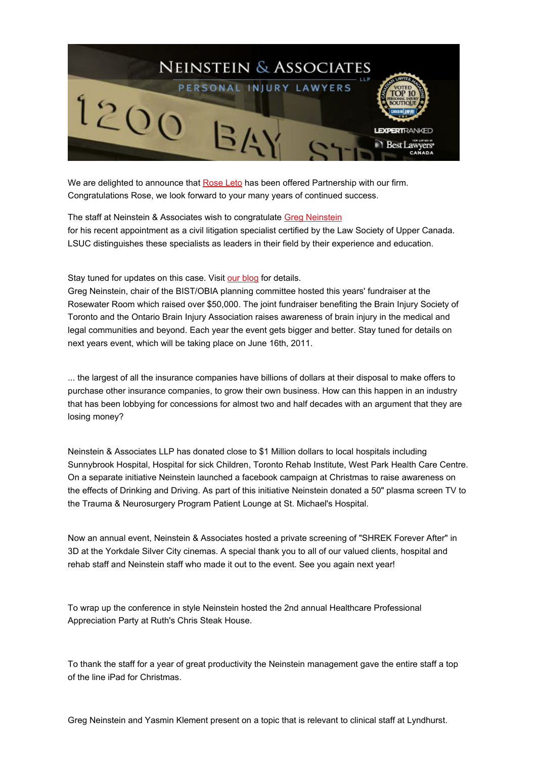

We are delighted to announce that [Rose](http://ca.linkedin.com/pub/rose-leto/29/ba9/595) Leto has been offered Partnership with our firm. Congratulations Rose, we look forward to your many years of continued success.

The staff at Neinstein & Associates wish to congratulate Greg [Neinstein](http://www.neinstein.com/our-lawyers/greg-neinstein/) for his recent appointment as a civil litigation specialist certified by the Law Society of Upper Canada. LSUC distinguishes these specialists as leaders in their field by their experience and education.

Stay tuned for updates on this case. Visit our [blog](http://www.neinstein.com/news/court-of-appeal-allows-neinstein-client-to-sue-in-ontario-for-cuba-accident/) for details.

Greg Neinstein, chair of the BIST/OBIA planning committee hosted this years' fundraiser at the Rosewater Room which raised over \$50,000. The joint fundraiser benefiting the Brain Injury Society of Toronto and the Ontario Brain Injury Association raises awareness of brain injury in the medical and legal communities and beyond. Each year the event gets bigger and better. Stay tuned for details on next years event, which will be taking place on June 16th, 2011.

... the largest of all the insurance companies have billions of dollars at their disposal to make offers to purchase other insurance companies, to grow their own business. How can this happen in an industry that has been lobbying for concessions for almost two and half decades with an argument that they are losing money?

Neinstein & Associates LLP has donated close to \$1 Million dollars to local hospitals including Sunnybrook Hospital, Hospital for sick Children, Toronto Rehab Institute, West Park Health Care Centre. On a separate initiative Neinstein launched a facebook campaign at Christmas to raise awareness on the effects of Drinking and Driving. As part of this initiative Neinstein donated a 50" plasma screen TV to the Trauma & Neurosurgery Program Patient Lounge at St. Michael's Hospital.

Now an annual event, Neinstein & Associates hosted a private screening of "SHREK Forever After" in 3D at the Yorkdale Silver City cinemas. A special thank you to all of our valued clients, hospital and rehab staff and Neinstein staff who made it out to the event. See you again next year!

To wrap up the conference in style Neinstein hosted the 2nd annual Healthcare Professional Appreciation Party at Ruth's Chris Steak House.

To thank the staff for a year of great productivity the Neinstein management gave the entire staff a top of the line iPad for Christmas.